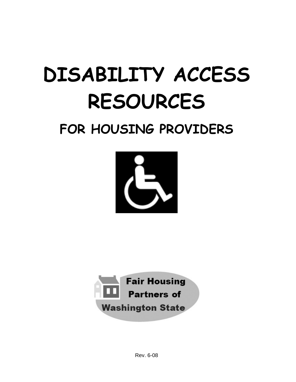# **DISABILITY ACCESS RESOURCES**

# **FOR HOUSING PROVIDERS**





Rev. 6-08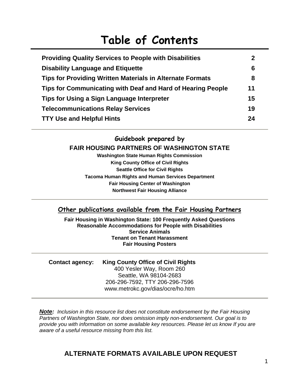## **Table of Contents**

| <b>Providing Quality Services to People with Disabilities</b>    | $\mathbf{2}$ |
|------------------------------------------------------------------|--------------|
| <b>Disability Language and Etiquette</b>                         | 6            |
| <b>Tips for Providing Written Materials in Alternate Formats</b> | 8            |
| Tips for Communicating with Deaf and Hard of Hearing People      | 11           |
| Tips for Using a Sign Language Interpreter                       | 15           |
| <b>Telecommunications Relay Services</b>                         | 19           |
| <b>TTY Use and Helpful Hints</b>                                 | 24           |

#### **Guidebook prepared by FAIR HOUSING PARTNERS OF WASHINGTON STATE**

**Washington State Human Rights Commission King County Office of Civil Rights Seattle Office for Civil Rights Tacoma Human Rights and Human Services Department Fair Housing Center of Washington Northwest Fair Housing Alliance** 

#### **Other publications available from the Fair Housing Partners**

**Fair Housing in Washington State: 100 Frequently Asked Questions Reasonable Accommodations for People with Disabilities Service Animals Tenant on Tenant Harassment Fair Housing Posters** 

**Contact agency: King County Office of Civil Rights**  400 Yesler Way, Room 260 Seattle, WA 98104-2683 206-296-7592, TTY 206-296-7596 www.metrokc.gov/dias/ocre/ho.htm

*Note: Inclusion in this resource list does not constitute endorsement by the Fair Housing Partners of Washington State, nor does omission imply non-endorsement. Our goal is to provide you with information on some available key resources. Please let us know If you are aware of a useful resource missing from this list.* 

#### **ALTERNATE FORMATS AVAILABLE UPON REQUEST**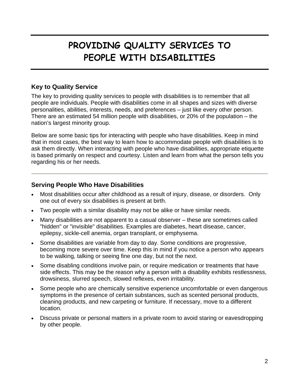## **PROVIDING QUALITY SERVICES TO PEOPLE WITH DISABILITIES**

#### **Key to Quality Service**

The key to providing quality services to people with disabilities is to remember that all people are individuals. People with disabilities come in all shapes and sizes with diverse personalities, abilities, interests, needs, and preferences – just like every other person. There are an estimated 54 million people with disabilities, or 20% of the population – the nation's largest minority group.

Below are some basic tips for interacting with people who have disabilities. Keep in mind that in most cases, the best way to learn how to accommodate people with disabilities is to ask them directly. When interacting with people who have disabilities, appropriate etiquette is based primarily on respect and courtesy. Listen and learn from what the person tells you regarding his or her needs.

#### **Serving People Who Have Disabilities**

- Most disabilities occur after childhood as a result of injury, disease, or disorders. Only one out of every six disabilities is present at birth.
- Two people with a similar disability may not be alike or have similar needs.
- Many disabilities are not apparent to a casual observer these are sometimes called "hidden" or "invisible" disabilities. Examples are diabetes, heart disease, cancer, epilepsy, sickle-cell anemia, organ transplant, or emphysema.
- Some disabilities are variable from day to day. Some conditions are progressive, becoming more severe over time. Keep this in mind if you notice a person who appears to be walking, talking or seeing fine one day, but not the next.
- Some disabling conditions involve pain, or require medication or treatments that have side effects. This may be the reason why a person with a disability exhibits restlessness, drowsiness, slurred speech, slowed reflexes, even irritability.
- Some people who are chemically sensitive experience uncomfortable or even dangerous symptoms in the presence of certain substances, such as scented personal products, cleaning products, and new carpeting or furniture. If necessary, move to a different location.
- Discuss private or personal matters in a private room to avoid staring or eavesdropping by other people.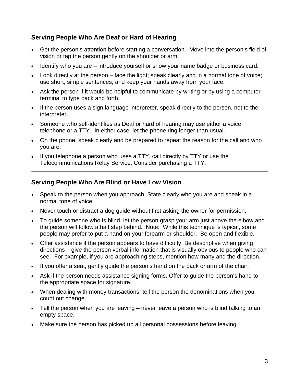#### **Serving People Who Are Deaf or Hard of Hearing**

- Get the person's attention before starting a conversation. Move into the person's field of vision or tap the person gently on the shoulder or arm.
- Identify who you are introduce yourself or show your name badge or business card.
- Look directly at the person face the light; speak clearly and in a normal tone of voice; use short, simple sentences; and keep your hands away from your face.
- Ask the person if it would be helpful to communicate by writing or by using a computer terminal to type back and forth.
- If the person uses a sign language interpreter, speak directly to the person, not to the interpreter.
- Someone who self-identifies as Deaf or hard of hearing may use either a voice telephone or a TTY. In either case, let the phone ring longer than usual.
- On the phone, speak clearly and be prepared to repeat the reason for the call and who you are.
- If you telephone a person who uses a TTY, call directly by TTY or use the Telecommunications Relay Service. Consider purchasing a TTY.

#### **Serving People Who Are Blind or Have Low Vision**

- Speak to the person when you approach. State clearly who you are and speak in a normal tone of voice.
- Never touch or distract a dog guide without first asking the owner for permission.
- To guide someone who is blind, let the person grasp your arm just above the elbow and the person will follow a half step behind. Note: While this technique is typical, some people may prefer to put a hand on your forearm or shoulder. Be open and flexible.
- Offer assistance if the person appears to have difficulty. Be descriptive when giving directions – give the person verbal information that is visually obvious to people who can see. For example, if you are approaching steps, mention how many and the direction.
- If you offer a seat, gently guide the person's hand on the back or arm of the chair.
- Ask if the person needs assistance signing forms. Offer to guide the person's hand to the appropriate space for signature.
- When dealing with money transactions, tell the person the denominations when you count out change.
- Tell the person when you are leaving never leave a person who is blind talking to an empty space.
- Make sure the person has picked up all personal possessions before leaving.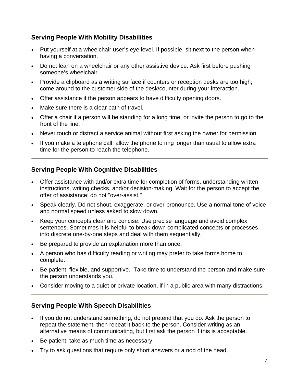#### **Serving People With Mobility Disabilities**

- Put yourself at a wheelchair user's eye level. If possible, sit next to the person when having a conversation.
- Do not lean on a wheelchair or any other assistive device. Ask first before pushing someone's wheelchair.
- Provide a clipboard as a writing surface if counters or reception desks are too high; come around to the customer side of the desk/counter during your interaction.
- Offer assistance if the person appears to have difficulty opening doors.
- Make sure there is a clear path of travel.
- Offer a chair if a person will be standing for a long time, or invite the person to go to the front of the line.
- Never touch or distract a service animal without first asking the owner for permission.
- If you make a telephone call, allow the phone to ring longer than usual to allow extra time for the person to reach the telephone.

#### **Serving People With Cognitive Disabilities**

- Offer assistance with and/or extra time for completion of forms, understanding written instructions, writing checks, and/or decision-making. Wait for the person to accept the offer of assistance; do not "over-assist."
- Speak clearly. Do not shout, exaggerate, or over-pronounce. Use a normal tone of voice and normal speed unless asked to slow down.
- Keep your concepts clear and concise. Use precise language and avoid complex sentences. Sometimes it is helpful to break down complicated concepts or processes into discrete one-by-one steps and deal with them sequentially.
- Be prepared to provide an explanation more than once.
- A person who has difficulty reading or writing may prefer to take forms home to complete.
- Be patient, flexible, and supportive. Take time to understand the person and make sure the person understands you.
- Consider moving to a quiet or private location, if in a public area with many distractions.

#### **Serving People With Speech Disabilities**

- If you do not understand something, do not pretend that you do. Ask the person to repeat the statement, then repeat it back to the person. Consider writing as an alternative means of communicating, but first ask the person if this is acceptable.
- Be patient; take as much time as necessary.
- Try to ask questions that require only short answers or a nod of the head.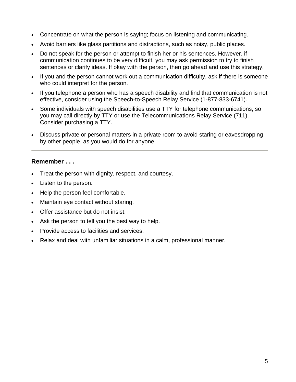- Concentrate on what the person is saying; focus on listening and communicating.
- Avoid barriers like glass partitions and distractions, such as noisy, public places.
- Do not speak for the person or attempt to finish her or his sentences. However, if communication continues to be very difficult, you may ask permission to try to finish sentences or clarify ideas. If okay with the person, then go ahead and use this strategy.
- If you and the person cannot work out a communication difficulty, ask if there is someone who could interpret for the person.
- If you telephone a person who has a speech disability and find that communication is not effective, consider using the Speech-to-Speech Relay Service (1-877-833-6741).
- Some individuals with speech disabilities use a TTY for telephone communications, so you may call directly by TTY or use the Telecommunications Relay Service (711). Consider purchasing a TTY.
- Discuss private or personal matters in a private room to avoid staring or eavesdropping by other people, as you would do for anyone.

#### **Remember . . .**

- Treat the person with dignity, respect, and courtesy.
- Listen to the person.
- Help the person feel comfortable.
- Maintain eye contact without staring.
- Offer assistance but do not insist.
- Ask the person to tell you the best way to help.
- Provide access to facilities and services.
- Relax and deal with unfamiliar situations in a calm, professional manner.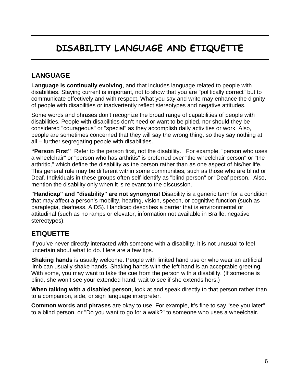## **DISABILITY LANGUAGE AND ETIQUETTE**

#### **LANGUAGE**

**Language is continually evolving**, and that includes language related to people with disabilities. Staying current is important, not to show that you are "politically correct" but to communicate effectively and with respect. What you say and write may enhance the dignity of people with disabilities or inadvertently reflect stereotypes and negative attitudes.

Some words and phrases don't recognize the broad range of capabilities of people with disabilities. People with disabilities don't need or want to be pitied, nor should they be considered "courageous" or "special" as they accomplish daily activities or work. Also, people are sometimes concerned that they will say the wrong thing, so they say nothing at all – further segregating people with disabilities.

**"Person First"** Refer to the person first, not the disability. For example, "person who uses a wheelchair" or "person who has arthritis" is preferred over "the wheelchair person" or "the arthritic," which define the disability as the person rather than as one aspect of his/her life. This general rule may be different within some communities, such as those who are blind or Deaf. Individuals in these groups often self-identify as "blind person" or "Deaf person." Also, mention the disability only when it is relevant to the discussion.

**"Handicap" and "disability" are not synonyms!** Disability is a generic term for a condition that may affect a person's mobility, hearing, vision, speech, or cognitive function (such as paraplegia, deafness, AIDS). Handicap describes a barrier that is environmental or attitudinal (such as no ramps or elevator, information not available in Braille, negative stereotypes).

#### **ETIQUETTE**

If you've never directly interacted with someone with a disability, it is not unusual to feel uncertain about what to do. Here are a few tips.

**Shaking hands** is usually welcome. People with limited hand use or who wear an artificial limb can usually shake hands. Shaking hands with the left hand is an acceptable greeting. With some, you may want to take the cue from the person with a disability. (If someone is blind, she won't see your extended hand; wait to see if she extends hers.)

**When talking with a disabled person**, look at and speak directly to that person rather than to a companion, aide, or sign language interpreter.

**Common words and phrases** are okay to use. For example, it's fine to say "see you later" to a blind person, or "Do you want to go for a walk?" to someone who uses a wheelchair.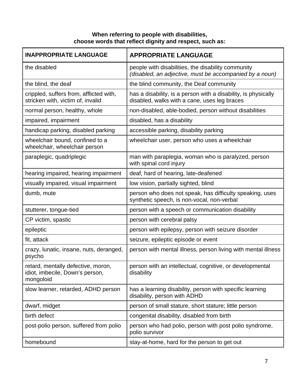#### **When referring to people with disabilities, choose words that reflect dignity and respect, such as:**

| <b>INAPPROPRIATE LANGUAGE</b>                                                      | <b>APPROPRIATE LANGUAGE</b>                                                                                    |
|------------------------------------------------------------------------------------|----------------------------------------------------------------------------------------------------------------|
| the disabled                                                                       | people with disabilities, the disability community<br>(disabled, an adjective, must be accompanied by a noun)  |
| the blind, the deaf                                                                | the blind community, the Deaf community                                                                        |
| crippled, suffers from, afflicted with,<br>stricken with, victim of, invalid       | has a disability, is a person with a disability, is physically<br>disabled, walks with a cane, uses leg braces |
| normal person, healthy, whole                                                      | non-disabled, able-bodied, person without disabilities                                                         |
| impaired, impairment                                                               | disabled, has a disability                                                                                     |
| handicap parking, disabled parking                                                 | accessible parking, disability parking                                                                         |
| wheelchair bound, confined to a<br>wheelchair, wheelchair person                   | wheelchair user, person who uses a wheelchair                                                                  |
| paraplegic, quadriplegic                                                           | man with paraplegia, woman who is paralyzed, person<br>with spinal cord injury                                 |
| hearing impaired, hearing impairment                                               | deaf, hard of hearing, late-deafened                                                                           |
| visually impaired, visual impairment                                               | low vision, partially sighted, blind                                                                           |
| dumb, mute                                                                         | person who does not speak, has difficulty speaking, uses<br>synthetic speech, is non-vocal, non-verbal         |
| stutterer, tongue-tied                                                             | person with a speech or communication disability                                                               |
| CP victim, spastic                                                                 | person with cerebral palsy                                                                                     |
| epileptic                                                                          | person with epilepsy, person with seizure disorder                                                             |
| fit, attack                                                                        | seizure, epileptic episode or event                                                                            |
| crazy, lunatic, insane, nuts, deranged,<br>psycho                                  | person with mental illness, person living with mental illness                                                  |
| retard, mentally defective, moron,<br>idiot, imbecile, Down's person,<br>mongoloid | person with an intellectual, cognitive, or developmental<br>disability                                         |
| slow learner, retarded, ADHD person                                                | has a learning disability, person with specific learning<br>disability, person with ADHD                       |
| dwarf, midget                                                                      | person of small stature, short stature; little person                                                          |
| birth defect                                                                       | congenital disability, disabled from birth                                                                     |
| post-polio person, suffered from polio                                             | person who had polio, person with post polio syndrome,<br>polio survivor                                       |
| homebound                                                                          | stay-at-home, hard for the person to get out                                                                   |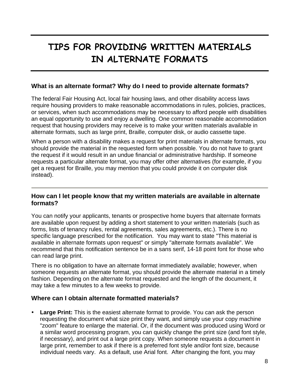## **TIPS FOR PROVIDING WRITTEN MATERIALS IN ALTERNATE FORMATS**

#### **What is an alternate format? Why do I need to provide alternate formats?**

The federal Fair Housing Act, local fair housing laws, and other disability access laws require housing providers to make reasonable accommodations in rules, policies, practices, or services, when such accommodations may be necessary to afford people with disabilities an equal opportunity to use and enjoy a dwelling. One common reasonable accommodation request that housing providers may receive is to make your written materials available in alternate formats, such as large print, Braille, computer disk, or audio cassette tape.

When a person with a disability makes a request for print materials in alternate formats, you should provide the material in the requested form when possible. You do not have to grant the request if it would result in an undue financial or administrative hardship. If someone requests a particular alternate format, you may offer other alternatives (for example, if you get a request for Braille, you may mention that you could provide it on computer disk instead).

#### **How can I let people know that my written materials are available in alternate formats?**

You can notify your applicants, tenants or prospective home buyers that alternate formats are available upon request by adding a short statement to your written materials (such as forms, lists of tenancy rules, rental agreements, sales agreements, etc.). There is no specific language prescribed for the notification. You may want to state "This material is available in alternate formats upon request" or simply "alternate formats available". We recommend that this notification sentence be in a sans serif, 14-18 point font for those who can read large print.

There is no obligation to have an alternate format immediately available; however, when someone requests an alternate format, you should provide the alternate material in a timely fashion. Depending on the alternate format requested and the length of the document, it may take a few minutes to a few weeks to provide.

#### **Where can I obtain alternate formatted materials?**

• Large Print: This is the easiest alternate format to provide. You can ask the person requesting the document what size print they want, and simply use your copy machine "zoom" feature to enlarge the material. Or, if the document was produced using Word or a similar word processing program, you can quickly change the print size (and font style, if necessary), and print out a large print copy. When someone requests a document in large print, remember to ask if there is a preferred font style and/or font size, because individual needs vary. As a default, use Arial font. After changing the font, you may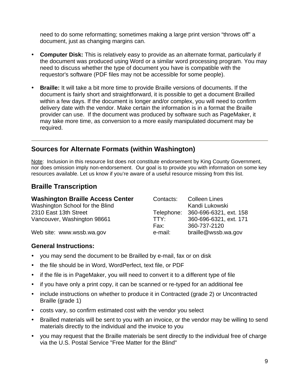need to do some reformatting; sometimes making a large print version "throws off" a document, just as changing margins can.

- Computer Disk: This is relatively easy to provide as an alternate format, particularly if the document was produced using Word or a similar word processing program. You may need to discuss whether the type of document you have is compatible with the requestor's software (PDF files may not be accessible for some people).
- **Braille:** It will take a bit more time to provide Braille versions of documents. If the document is fairly short and straightforward, it is possible to get a document Brailled within a few days. If the document is longer and/or complex, you will need to confirm delivery date with the vendor. Make certain the information is in a format the Braille provider can use. If the document was produced by software such as PageMaker, it may take more time, as conversion to a more easily manipulated document may be required.

#### **Sources for Alternate Formats (within Washington)**

Note: Inclusion in this resource list does not constitute endorsement by King County Government, nor does omission imply non-endorsement. Our goal is to provide you with information on some key resources available. Let us know if you're aware of a useful resource missing from this list.

#### **Braille Transcription**

| <b>Washington Braille Access Center</b> | Contacts: | <b>Colleen Lines</b>              |
|-----------------------------------------|-----------|-----------------------------------|
| Washington School for the Blind         |           | Kandi Lukowski                    |
| 2310 East 13th Street                   |           | Telephone: 360-696-6321, ext. 158 |
| Vancouver, Washington 98661             | TTY:      | 360-696-6321, ext. 171            |
|                                         | Fax:      | 360-737-2120                      |
| Web site: www.wssb.wa.gov               | e-mail:   | braille@wssb.wa.gov               |

#### **General Instructions:**

- you may send the document to be Brailled by e-mail, fax or on disk
- the file should be in Word, WordPerfect, text file, or PDF
- if the file is in PageMaker, you will need to convert it to a different type of file
- if you have only a print copy, it can be scanned or re-typed for an additional fee
- include instructions on whether to produce it in Contracted (grade 2) or Uncontracted Braille (grade 1)
- costs vary, so confirm estimated cost with the vendor you select
- Brailled materials will be sent to you with an invoice, or the vendor may be willing to send materials directly to the individual and the invoice to you
- you may request that the Braille materials be sent directly to the individual free of charge via the U.S. Postal Service "Free Matter for the Blind"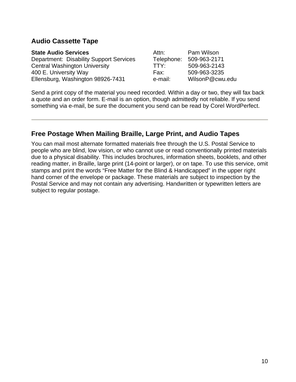#### **Audio Cassette Tape**

| <b>State Audio Services</b>                    | Attn:      | Pam Wilson      |
|------------------------------------------------|------------|-----------------|
| <b>Department: Disability Support Services</b> | Telephone: | 509-963-2171    |
| <b>Central Washington University</b>           | TTY:       | 509-963-2143    |
| 400 E. University Way                          | Fax:       | 509-963-3235    |
| Ellensburg, Washington 98926-7431              | e-mail:    | WilsonP@cwu.edu |

Send a print copy of the material you need recorded. Within a day or two, they will fax back a quote and an order form. E-mail is an option, though admittedly not reliable. If you send something via e-mail, be sure the document you send can be read by Corel WordPerfect.

#### **Free Postage When Mailing Braille, Large Print, and Audio Tapes**

You can mail most alternate formatted materials free through the U.S. Postal Service to people who are blind, low vision, or who cannot use or read conventionally printed materials due to a physical disability. This includes brochures, information sheets, booklets, and other reading matter, in Braille, large print (14-point or larger), or on tape. To use this service, omit stamps and print the words "Free Matter for the Blind & Handicapped" in the upper right hand corner of the envelope or package. These materials are subject to inspection by the Postal Service and may not contain any advertising. Handwritten or typewritten letters are subject to regular postage.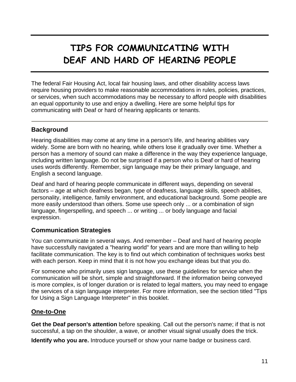## **TIPS FOR COMMUNICATING WITH DEAF AND HARD OF HEARING PEOPLE**

The federal Fair Housing Act, local fair housing laws, and other disability access laws require housing providers to make reasonable accommodations in rules, policies, practices, or services, when such accommodations may be necessary to afford people with disabilities an equal opportunity to use and enjoy a dwelling. Here are some helpful tips for communicating with Deaf or hard of hearing applicants or tenants.

#### **Background**

Hearing disabilities may come at any time in a person's life, and hearing abilities vary widely. Some are born with no hearing, while others lose it gradually over time. Whether a person has a memory of sound can make a difference in the way they experience language, including written language. Do not be surprised if a person who is Deaf or hard of hearing uses words differently. Remember, sign language may be their primary language, and English a second language.

Deaf and hard of hearing people communicate in different ways, depending on several factors – age at which deafness began, type of deafness, language skills, speech abilities, personality, intelligence, family environment, and educational background. Some people are more easily understood than others. Some use speech only ... or a combination of sign language, fingerspelling, and speech ... or writing ... or body language and facial expression.

#### **Communication Strategies**

You can communicate in several ways. And remember – Deaf and hard of hearing people have successfully navigated a "hearing world" for years and are more than willing to help facilitate communication. The key is to find out which combination of techniques works best with each person. Keep in mind that it is not how you exchange ideas but that you do.

For someone who primarily uses sign language, use these guidelines for service when the communication will be short, simple and straightforward. If the information being conveyed is more complex, is of longer duration or is related to legal matters, you may need to engage the services of a sign language interpreter. For more information, see the section titled "Tips for Using a Sign Language Interpreter" in this booklet.

#### **One-to-One**

**Get the Deaf person's attention** before speaking. Call out the person's name; if that is not successful, a tap on the shoulder, a wave, or another visual signal usually does the trick.

**Identify who you are.** Introduce yourself or show your name badge or business card.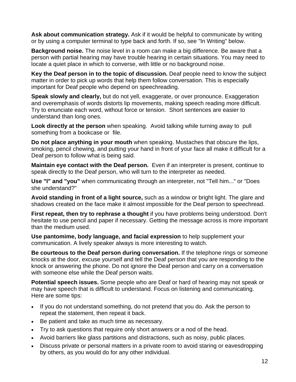**Ask about communication strategy.** Ask if it would be helpful to communicate by writing or by using a computer terminal to type back and forth. If so, see "In Writing" below.

**Background noise.** The noise level in a room can make a big difference. Be aware that a person with partial hearing may have trouble hearing in certain situations. You may need to locate a quiet place in which to converse, with little or no background noise.

**Key the Deaf person in to the topic of discussion.** Deaf people need to know the subject matter in order to pick up words that help them follow conversation. This is especially important for Deaf people who depend on speechreading.

**Speak slowly and clearly,** but do not yell, exaggerate, or over pronounce. Exaggeration and overemphasis of words distorts lip movements, making speech reading more difficult. Try to enunciate each word, without force or tension. Short sentences are easier to understand than long ones.

**Look directly at the person** when speaking. Avoid talking while turning away to pull something from a bookcase or file.

**Do not place anything in your mouth** when speaking. Mustaches that obscure the lips, smoking, pencil chewing, and putting your hand in front of your face all make it difficult for a Deaf person to follow what is being said.

**Maintain eye contact with the Deaf person.** Even if an interpreter is present, continue to speak directly to the Deaf person, who will turn to the interpreter as needed.

**Use "I" and "you"** when communicating through an interpreter, not "Tell him..." or "Does she understand?"

**Avoid standing in front of a light source,** such as a window or bright light. The glare and shadows created on the face make it almost impossible for the Deaf person to speechread.

**First repeat, then try to rephrase a thought** if you have problems being understood. Don't hesitate to use pencil and paper if necessary. Getting the message across is more important than the medium used.

**Use pantomime, body language, and facial expression** to help supplement your communication. A lively speaker always is more interesting to watch.

**Be courteous to the Deaf person during conversation.** If the telephone rings or someone knocks at the door, excuse yourself and tell the Deaf person that you are responding to the knock or answering the phone. Do not ignore the Deaf person and carry on a conversation with someone else while the Deaf person waits.

**Potential speech issues.** Some people who are Deaf or hard of hearing may not speak or may have speech that is difficult to understand. Focus on listening and communicating. Here are some tips:

- If you do not understand something, do not pretend that you do. Ask the person to repeat the statement, then repeat it back.
- Be patient and take as much time as necessary.
- Try to ask questions that require only short answers or a nod of the head.
- Avoid barriers like glass partitions and distractions, such as noisy, public places.
- Discuss private or personal matters in a private room to avoid staring or eavesdropping by others, as you would do for any other individual.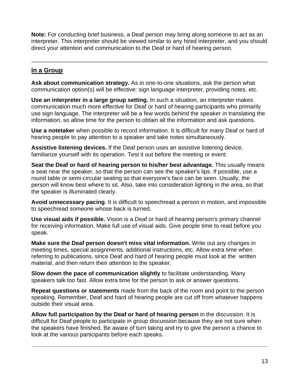**Note:** For conducting brief business, a Deaf person may bring along someone to act as an interpreter. This interpreter should be viewed similar to any hired interpreter, and you should direct your attention and communication to the Deaf or hard of hearing person.

#### **In a Group**

**Ask about communication strategy.** As in one-to-one situations, ask the person what communication option(s) will be effective: sign language interpreter, providing notes, etc.

**Use an interpreter in a large group setting.** In such a situation, an interpreter makes communication much more effective for Deaf or hard of hearing participants who primarily use sign language. The interpreter will be a few words behind the speaker in translating the information, so allow time for the person to obtain all the information and ask questions.

**Use a notetaker** when possible to record information. It is difficult for many Deaf or hard of hearing people to pay attention to a speaker and take notes simultaneously.

**Assistive listening devices.** If the Deaf person uses an assistive listening device, familiarize yourself with its operation. Test it out before the meeting or event.

**Seat the Deaf or hard of hearing person to his/her best advantage.** This usually means a seat near the speaker, so that the person can see the speaker's lips. If possible, use a round table or semi-circular seating so that everyone's face can be seen. Usually, the person will know best where to sit. Also, take into consideration lighting in the area, so that the speaker is illuminated clearly.

**Avoid unnecessary pacing**. It is difficult to speechread a person in motion, and impossible to speechread someone whose back is turned.

**Use visual aids if possible.** Vision is a Deaf or hard of hearing person's primary channel for receiving information. Make full use of visual aids. Give people time to read before you speak.

**Make sure the Deaf person doesn't miss vital information.** Write out any changes in meeting times, special assignments, additional instructions, etc. Allow extra time when referring to publications, since Deaf and hard of hearing people must look at the written material, and then return their attention to the speaker.

**Slow down the pace of communication slightly** to facilitate understanding. Many speakers talk too fast. Allow extra time for the person to ask or answer questions.

**Repeat questions or statements** made from the back of the room and point to the person speaking. Remember, Deaf and hard of hearing people are cut off from whatever happens outside their visual area.

**Allow full participation by the Deaf or hard of hearing person** in the discussion. It is difficult for Deaf people to participate in group discussion because they are not sure when the speakers have finished. Be aware of turn taking and try to give the person a chance to look at the various participants before each speaks.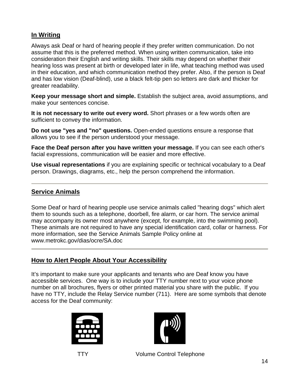#### **In Writing**

Always ask Deaf or hard of hearing people if they prefer written communication. Do not assume that this is the preferred method. When using written communication, take into consideration their English and writing skills. Their skills may depend on whether their hearing loss was present at birth or developed later in life, what teaching method was used in their education, and which communication method they prefer. Also, if the person is Deaf and has low vision (Deaf-blind), use a black felt-tip pen so letters are dark and thicker for greater readability.

**Keep your message short and simple.** Establish the subject area, avoid assumptions, and make your sentences concise.

**It is not necessary to write out every word.** Short phrases or a few words often are sufficient to convey the information.

**Do not use "yes and "no" questions.** Open-ended questions ensure a response that allows you to see if the person understood your message.

**Face the Deaf person after you have written your message.** If you can see each other's facial expressions, communication will be easier and more effective.

**Use visual representations** if you are explaining specific or technical vocabulary to a Deaf person. Drawings, diagrams, etc., help the person comprehend the information.

#### **Service Animals**

Some Deaf or hard of hearing people use service animals called "hearing dogs" which alert them to sounds such as a telephone, doorbell, fire alarm, or car horn. The service animal may accompany its owner most anywhere (except, for example, into the swimming pool). These animals are not required to have any special identification card, collar or harness. For more information, see the Service Animals Sample Policy online at www.metrokc.gov/dias/ocre/SA.doc

#### **How to Alert People About Your Accessibility**

It's important to make sure your applicants and tenants who are Deaf know you have accessible services. One way is to include your TTY number next to your voice phone number on all brochures, flyers or other printed material you share with the public. If you have no TTY, include the Relay Service number (711). Here are some symbols that denote access for the Deaf community:





TTY Volume Control Telephone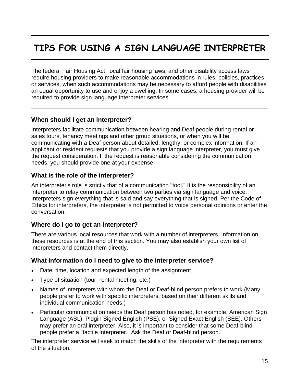## **TIPS FOR USING A SIGN LANGUAGE INTERPRETER**

The federal Fair Housing Act, local fair housing laws, and other disability access laws require housing providers to make reasonable accommodations in rules, policies, practices, or services, when such accommodations may be necessary to afford people with disabilities an equal opportunity to use and enjoy a dwelling. In some cases, a housing provider will be required to provide sign language interpreter services.

#### **When should I get an interpreter?**

Interpreters facilitate communication between hearing and Deaf people during rental or sales tours, tenancy meetings and other group situations, or when you will be communicating with a Deaf person about detailed, lengthy, or complex information. If an applicant or resident requests that you provide a sign language interpreter, you must give the request consideration. If the request is reasonable considering the communication needs, you should provide one at your expense.

#### **What is the role of the interpreter?**

An interpreter's role is strictly that of a communication "tool." It is the responsibility of an interpreter to relay communication between two parties via sign language and voice. Interpreters sign everything that is said and say everything that is signed. Per the Code of Ethics for interpreters, the interpreter is not permitted to voice personal opinions or enter the conversation.

#### **Where do I go to get an interpreter?**

There are various local resources that work with a number of interpreters. Information on these resources is at the end of this section. You may also establish your own list of interpreters and contact them directly.

#### **What information do I need to give to the interpreter service?**

- Date, time, location and expected length of the assignment
- Type of situation (tour, rental meeting, etc.)
- Names of interpreters with whom the Deaf or Deaf-blind person prefers to work (Many people prefer to work with specific interpreters, based on their different skills and individual communication needs.)
- Particular communication needs the Deaf person has noted, for example, American Sign Language (ASL), Pidgin Signed English (PSE), or Signed Exact English (SEE). Others may prefer an oral interpreter. Also, it is important to consider that some Deaf-blind people prefer a "tactile interpreter." Ask the Deaf or Deaf-blind person.

The interpreter service will seek to match the skills of the interpreter with the requirements of the situation.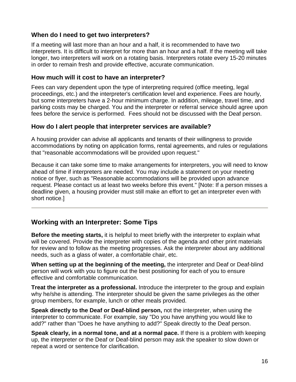#### **When do I need to get two interpreters?**

If a meeting will last more than an hour and a half, it is recommended to have two interpreters. It is difficult to interpret for more than an hour and a half. If the meeting will take longer, two interpreters will work on a rotating basis. Interpreters rotate every 15-20 minutes in order to remain fresh and provide effective, accurate communication.

#### **How much will it cost to have an interpreter?**

Fees can vary dependent upon the type of interpreting required (office meeting, legal proceedings, etc.) and the interpreter's certification level and experience. Fees are hourly, but some interpreters have a 2-hour minimum charge. In addition, mileage, travel time, and parking costs may be charged. You and the interpreter or referral service should agree upon fees before the service is performed. Fees should not be discussed with the Deaf person.

#### **How do I alert people that interpreter services are available?**

A housing provider can advise all applicants and tenants of their willingness to provide accommodations by noting on application forms, rental agreements, and rules or regulations that "reasonable accommodations will be provided upon request."

Because it can take some time to make arrangements for interpreters, you will need to know ahead of time if interpreters are needed. You may include a statement on your meeting notice or flyer, such as "Reasonable accommodations will be provided upon advance request. Please contact us at least two weeks before this event." [Note: If a person misses a deadline given, a housing provider must still make an effort to get an interpreter even with short notice.]

#### **Working with an Interpreter: Some Tips**

**Before the meeting starts,** it is helpful to meet briefly with the interpreter to explain what will be covered. Provide the interpreter with copies of the agenda and other print materials for review and to follow as the meeting progresses. Ask the interpreter about any additional needs, such as a glass of water, a comfortable chair, etc.

**When setting up at the beginning of the meeting,** the interpreter and Deaf or Deaf-blind person will work with you to figure out the best positioning for each of you to ensure effective and comfortable communication.

**Treat the interpreter as a professional.** Introduce the interpreter to the group and explain why he/she is attending. The interpreter should be given the same privileges as the other group members, for example, lunch or other meals provided.

**Speak directly to the Deaf or Deaf-blind person,** not the interpreter, when using the interpreter to communicate. For example, say "Do you have anything you would like to add?" rather than "Does he have anything to add?" Speak directly to the Deaf person.

**Speak clearly, in a normal tone, and at a normal pace.** If there is a problem with keeping up, the interpreter or the Deaf or Deaf-blind person may ask the speaker to slow down or repeat a word or sentence for clarification.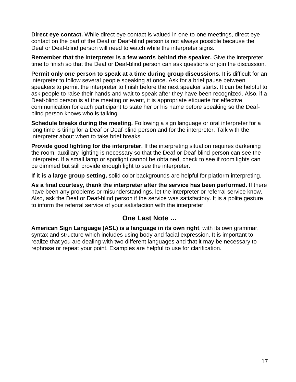**Direct eye contact.** While direct eye contact is valued in one-to-one meetings, direct eye contact on the part of the Deaf or Deaf-blind person is not always possible because the Deaf or Deaf-blind person will need to watch while the interpreter signs.

**Remember that the interpreter is a few words behind the speaker.** Give the interpreter time to finish so that the Deaf or Deaf-blind person can ask questions or join the discussion.

**Permit only one person to speak at a time during group discussions.** It is difficult for an interpreter to follow several people speaking at once. Ask for a brief pause between speakers to permit the interpreter to finish before the next speaker starts. It can be helpful to ask people to raise their hands and wait to speak after they have been recognized. Also, if a Deaf-blind person is at the meeting or event, it is appropriate etiquette for effective communication for each participant to state her or his name before speaking so the Deafblind person knows who is talking.

**Schedule breaks during the meeting.** Following a sign language or oral interpreter for a long time is tiring for a Deaf or Deaf-blind person and for the interpreter. Talk with the interpreter about when to take brief breaks.

**Provide good lighting for the interpreter.** If the interpreting situation requires darkening the room, auxiliary lighting is necessary so that the Deaf or Deaf-blind person can see the interpreter. If a small lamp or spotlight cannot be obtained, check to see if room lights can be dimmed but still provide enough light to see the interpreter.

**If it is a large group setting,** solid color backgrounds are helpful for platform interpreting.

**As a final courtesy, thank the interpreter after the service has been performed.** If there have been any problems or misunderstandings, let the interpreter or referral service know. Also, ask the Deaf or Deaf-blind person if the service was satisfactory. It is a polite gesture to inform the referral service of your satisfaction with the interpreter.

#### **One Last Note …**

**American Sign Language (ASL) is a language in its own right**, with its own grammar, syntax and structure which includes using body and facial expression. It is important to realize that you are dealing with two different languages and that it may be necessary to rephrase or repeat your point. Examples are helpful to use for clarification.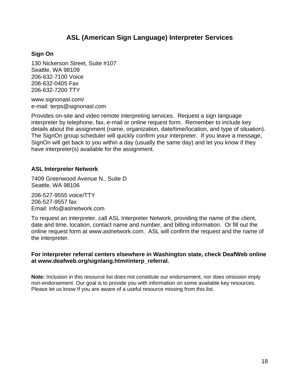#### **ASL (American Sign Language) Interpreter Services**

#### **Sign On**

130 Nickerson Street, Suite #107 Seattle, WA 98109 206-632-7100 Voice 206-632-0405 Fax 206-632-7200 TTY

www.signonasl.com/ e-mail: terps@signonasl.com

Provides on-site and video remote interpreting services. Request a sign language interpreter by telephone, fax, e-mail or online request form. Remember to include key details about the assignment (name, organization, date/time/location, and type of situation). The SignOn group scheduler will quickly confirm your interpreter. If you leave a message, SignOn will get back to you within a day (usually the same day) and let you know if they have interpreter(s) available for the assignment.

#### **ASL Interpreter Network**

7409 Greenwood Avenue N., Suite D Seattle, WA 98106

206-527-9555 voice/TTY 206-527-9557 fax Email: info@aslnetwork.com

To request an interpreter, call ASL Interpreter Network, providing the name of the client, date and time, location, contact name and number, and billing information. Or fill out the online request form at www.aslnetwork.com. ASL will confirm the request and the name of the interpreter.

#### **For interpreter referral centers elsewhere in Washington state, check DeafWeb online at www.deafweb.org/signlang.htm#interp\_referral.**

**Note:** Inclusion in this resource list does not constitute our endorsement, nor does omission imply non-endorsement. Our goal is to provide you with information on some available key resources. Please let us know If you are aware of a useful resource missing from this list.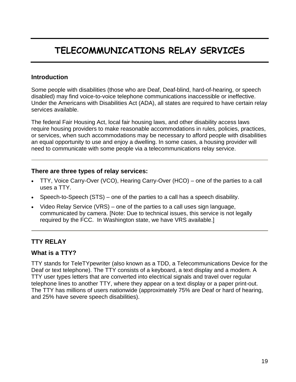## **TELECOMMUNICATIONS RELAY SERVICES**

#### **Introduction**

Some people with disabilities (those who are Deaf, Deaf-blind, hard-of-hearing, or speech disabled) may find voice-to-voice telephone communications inaccessible or ineffective. Under the Americans with Disabilities Act (ADA), all states are required to have certain relay services available.

The federal Fair Housing Act, local fair housing laws, and other disability access laws require housing providers to make reasonable accommodations in rules, policies, practices, or services, when such accommodations may be necessary to afford people with disabilities an equal opportunity to use and enjoy a dwelling. In some cases, a housing provider will need to communicate with some people via a telecommunications relay service.

#### **There are three types of relay services:**

- TTY, Voice Carry-Over (VCO), Hearing Carry-Over (HCO) one of the parties to a call uses a TTY.
- Speech-to-Speech (STS) one of the parties to a call has a speech disability.
- Video Relay Service (VRS) one of the parties to a call uses sign language, communicated by camera. [Note: Due to technical issues, this service is not legally required by the FCC. In Washington state, we have VRS available.]

#### **TTY RELAY**

#### **What is a TTY?**

TTY stands for TeleTYpewriter (also known as a TDD, a Telecommunications Device for the Deaf or text telephone). The TTY consists of a keyboard, a text display and a modem. A TTY user types letters that are converted into electrical signals and travel over regular telephone lines to another TTY, where they appear on a text display or a paper print-out. The TTY has millions of users nationwide (approximately 75% are Deaf or hard of hearing, and 25% have severe speech disabilities).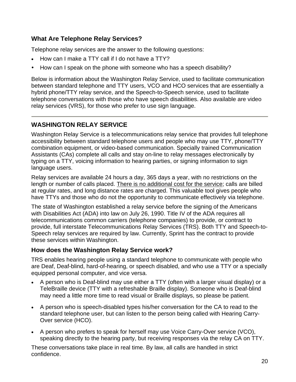#### **What Are Telephone Relay Services?**

Telephone relay services are the answer to the following questions:

- How can I make a TTY call if I do not have a TTY?
- How can I speak on the phone with someone who has a speech disability?

Below is information about the Washington Relay Service, used to facilitate communication between standard telephone and TTY users, VCO and HCO services that are essentially a hybrid phone/TTY relay service, and the Speech-to-Speech service, used to facilitate telephone conversations with those who have speech disabilities. Also available are video relay services (VRS), for those who prefer to use sign language.

#### **WASHINGTON RELAY SERVICE**

Washington Relay Service is a telecommunications relay service that provides full telephone accessibility between standard telephone users and people who may use TTY, phone/TTY combination equipment, or video-based communication. Specially trained Communication Assistants (CAs) complete all calls and stay on-line to relay messages electronically by typing on a TTY, voicing information to hearing parties, or signing information to sign language users.

Relay services are available 24 hours a day, 365 days a year, with no restrictions on the length or number of calls placed. There is no additional cost for the service; calls are billed at regular rates, and long distance rates are charged. This valuable tool gives people who have TTYs and those who do not the opportunity to communicate effectively via telephone.

The state of Washington established a relay service before the signing of the Americans with Disabilities Act (ADA) into law on July 26, 1990. Title IV of the ADA requires all telecommunications common carriers (telephone companies) to provide, or contract to provide, full interstate Telecommunications Relay Services (TRS). Both TTY and Speech-to-Speech relay services are required by law. Currently, Sprint has the contract to provide these services within Washington.

#### **How does the Washington Relay Service work?**

TRS enables hearing people using a standard telephone to communicate with people who are Deaf, Deaf-blind, hard-of-hearing, or speech disabled, and who use a TTY or a specially equipped personal computer, and vice versa.

- A person who is Deaf-blind may use either a TTY (often with a larger visual display) or a TeleBraille device (TTY with a refreshable Braille display). Someone who is Deaf-blind may need a little more time to read visual or Braille displays, so please be patient.
- A person who is speech-disabled types his/her conversation for the CA to read to the standard telephone user, but can listen to the person being called with Hearing Carry-Over service (HCO).
- A person who prefers to speak for herself may use Voice Carry-Over service (VCO), speaking directly to the hearing party, but receiving responses via the relay CA on TTY.

These conversations take place in real time. By law, all calls are handled in strict confidence.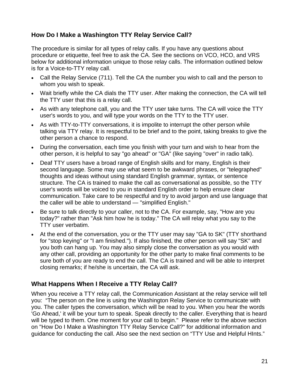#### **How Do I Make a Washington TTY Relay Service Call?**

The procedure is similar for all types of relay calls. If you have any questions about procedure or etiquette, feel free to ask the CA. See the sections on VCO, HCO, and VRS below for additional information unique to those relay calls. The information outlined below is for a Voice-to-TTY relay call.

- Call the Relay Service (711). Tell the CA the number you wish to call and the person to whom you wish to speak.
- Wait briefly while the CA dials the TTY user. After making the connection, the CA will tell the TTY user that this is a relay call.
- As with any telephone call, you and the TTY user take turns. The CA will voice the TTY user's words to you, and will type your words on the TTY to the TTY user.
- As with TTY-to-TTY conversations, it is impolite to interrupt the other person while talking via TTY relay. It is respectful to be brief and to the point, taking breaks to give the other person a chance to respond.
- During the conversation, each time you finish with your turn and wish to hear from the other person, it is helpful to say "go ahead" or "GA" (like saying "over" in radio talk).
- Deaf TTY users have a broad range of English skills and for many, English is their second language. Some may use what seem to be awkward phrases, or "telegraphed" thoughts and ideas without using standard English grammar, syntax, or sentence structure. The CA is trained to make the call as conversational as possible, so the TTY user's words will be voiced to you in standard English order to help ensure clear communication. Take care to be respectful and try to avoid jargon and use language that the caller will be able to understand — "simplified English."
- Be sure to talk directly to your caller, not to the CA. For example, say, "How are you today?" rather than "Ask him how he is today." The CA will relay what you say to the TTY user verbatim.
- At the end of the conversation, you or the TTY user may say "GA to SK" (TTY shorthand for "stop keying" or "I am finished."). If also finished, the other person will say "SK" and you both can hang up. You may also simply close the conversation as you would with any other call, providing an opportunity for the other party to make final comments to be sure both of you are ready to end the call. The CA is trained and will be able to interpret closing remarks; if he/she is uncertain, the CA will ask.

#### **What Happens When I Receive a TTY Relay Call?**

When you receive a TTY relay call, the Communication Assistant at the relay service will tell you: "The person on the line is using the Washington Relay Service to communicate with you. The caller types the conversation, which will be read to you. When you hear the words 'Go Ahead,' it will be your turn to speak. Speak directly to the caller. Everything that is heard will be typed to them. One moment for your call to begin." Please refer to the above section on "How Do I Make a Washington TTY Relay Service Call?" for additional information and guidance for conducting the call. Also see the next section on "TTY Use and Helpful HInts."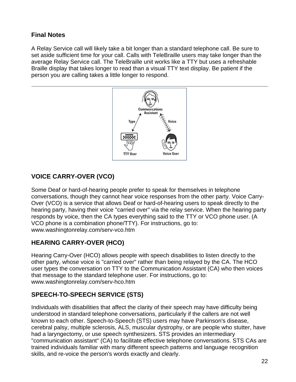#### **Final Notes**

A Relay Service call will likely take a bit longer than a standard telephone call. Be sure to set aside sufficient time for your call. Calls with TeleBraille users may take longer than the average Relay Service call. The TeleBraille unit works like a TTY but uses a refreshable Braille display that takes longer to read than a visual TTY text display. Be patient if the person you are calling takes a little longer to respond.



#### **VOICE CARRY-OVER (VCO)**

Some Deaf or hard-of-hearing people prefer to speak for themselves in telephone conversations, though they cannot hear voice responses from the other party. Voice Carry-Over (VCO) is a service that allows Deaf or hard-of-hearing users to speak directly to the hearing party, having their voice "carried over" via the relay service. When the hearing party responds by voice, then the CA types everything said to the TTY or VCO phone user. (A VCO phone is a combination phone/TTY). For instructions, go to: www.washingtonrelay.com/serv-vco.htm

#### **HEARING CARRY-OVER (HCO)**

Hearing Carry-Over (HCO) allows people with speech disabilities to listen directly to the other party, whose voice is "carried over" rather than being relayed by the CA. The HCO user types the conversation on TTY to the Communication Assistant (CA) who then voices that message to the standard telephone user. For instructions, go to: www.washingtonrelay.com/serv-hco.htm

#### **SPEECH-TO-SPEECH SERVICE (STS)**

Individuals with disabilities that affect the clarity of their speech may have difficulty being understood in standard telephone conversations, particularly if the callers are not well known to each other. Speech-to-Speech (STS) users may have Parkinson's disease, cerebral palsy, multiple sclerosis, ALS, muscular dystrophy, or are people who stutter, have had a laryngectomy, or use speech synthesizers. STS provides an intermediary "communication assistant" (CA) to facilitate effective telephone conversations. STS CAs are trained individuals familiar with many different speech patterns and language recognition skills, and re-voice the person's words exactly and clearly.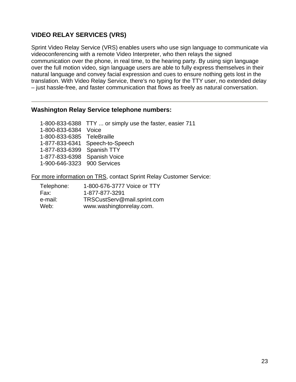#### **VIDEO RELAY SERVICES (VRS)**

Sprint Video Relay Service (VRS) enables users who use sign language to communicate via videoconferencing with a remote Video Interpreter, who then relays the signed communication over the phone, in real time, to the hearing party. By using sign language over the full motion video, sign language users are able to fully express themselves in their natural language and convey facial expression and cues to ensure nothing gets lost in the translation. With Video Relay Service, there's no typing for the TTY user, no extended delay – just hassle-free, and faster communication that flows as freely as natural conversation.

#### **Washington Relay Service telephone numbers:**

|                              | 1-800-833-6388 TTY  or simply use the faster, easier 711 |
|------------------------------|----------------------------------------------------------|
| 1-800-833-6384 Voice         |                                                          |
| 1-800-833-6385 TeleBraille   |                                                          |
|                              | 1-877-833-6341 Speech-to-Speech                          |
| 1-877-833-6399 Spanish TTY   |                                                          |
| 1-877-833-6398 Spanish Voice |                                                          |
| 1-900-646-3323 900 Services  |                                                          |

For more information on TRS, contact Sprint Relay Customer Service:

| Telephone: | 1-800-676-3777 Voice or TTY |
|------------|-----------------------------|
| Fax:       | 1-877-877-3291              |
| e-mail:    | TRSCustServ@mail.sprint.com |
| Web:       | www.washingtonrelay.com.    |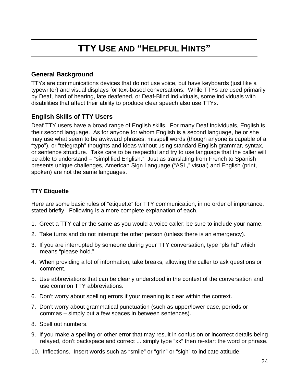## **TTY USE AND "HELPFUL HINTS"**

#### **General Background**

TTYs are communications devices that do not use voice, but have keyboards (just like a typewriter) and visual displays for text-based conversations. While TTYs are used primarily by Deaf, hard of hearing, late deafened, or Deaf-Blind individuals, some individuals with disabilities that affect their ability to produce clear speech also use TTYs.

#### **English Skills of TTY Users**

Deaf TTY users have a broad range of English skills. For many Deaf individuals, English is their second language. As for anyone for whom English is a second language, he or she may use what seem to be awkward phrases, misspell words (though anyone is capable of a "typo"), or "telegraph" thoughts and ideas without using standard English grammar, syntax, or sentence structure. Take care to be respectful and try to use language that the caller will be able to understand – "simplified English." Just as translating from French to Spanish presents unique challenges, American Sign Language ("ASL," visual) and English (print, spoken) are not the same languages.

#### **TTY Etiquette**

Here are some basic rules of "etiquette" for TTY communication, in no order of importance, stated briefly. Following is a more complete explanation of each.

- 1. Greet a TTY caller the same as you would a voice caller; be sure to include your name.
- 2. Take turns and do not interrupt the other person (unless there is an emergency).
- 3. If you are interrupted by someone during your TTY conversation, type "pls hd" which means "please hold."
- 4. When providing a lot of information, take breaks, allowing the caller to ask questions or comment.
- 5. Use abbreviations that can be clearly understood in the context of the conversation and use common TTY abbreviations.
- 6. Don't worry about spelling errors if your meaning is clear within the context.
- 7. Don't worry about grammatical punctuation (such as upper/lower case, periods or commas – simply put a few spaces in between sentences).
- 8. Spell out numbers.
- 9. If you make a spelling or other error that may result in confusion or incorrect details being relayed, don't backspace and correct ... simply type "xx" then re-start the word or phrase.
- 10. Inflections. Insert words such as "smile" or "grin" or "sigh" to indicate attitude.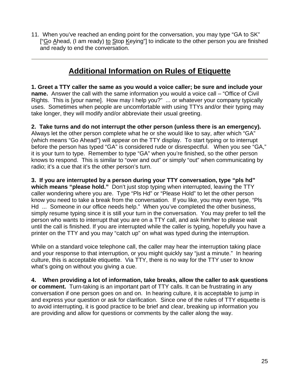11. When you've reached an ending point for the conversation, you may type "GA to SK" ["Go Ahead, (I am ready) to Stop Keying"] to indicate to the other person you are finished and ready to end the conversation.

### **Additional Information on Rules of Etiquette**

**1. Greet a TTY caller the same as you would a voice caller; be sure and include your name.** Answer the call with the same information you would a voice call – "Office of Civil Rights. This is [your name]. How may I help you?" ... or whatever your company typically uses. Sometimes when people are uncomfortable with using TTYs and/or their typing may take longer, they will modify and/or abbreviate their usual greeting.

**2. Take turns and do not interrupt the other person (unless there is an emergency).** Always let the other person complete what he or she would like to say, after which "GA" (which means "Go Ahead") will appear on the TTY display. To start typing or to interrupt before the person has typed "GA" is considered rude or disrespectful. When you see "GA," it is your turn to type. Remember to type "GA" when you're finished, so the other person knows to respond. This is similar to "over and out" or simply "out" when communicating by radio; it's a cue that it's the other person's turn.

**3. If you are interrupted by a person during your TTY conversation, type "pls hd" which means "please hold."** Don't just stop typing when interrupted, leaving the TTY caller wondering where you are. Type "Pls Hd" or "Please Hold" to let the other person know you need to take a break from the conversation. If you like, you may even type, "Pls Hd ... Someone in our office needs help." When you've completed the other business, simply resume typing since it is still your turn in the conversation. You may prefer to tell the person who wants to interrupt that you are on a TTY call, and ask him/her to please wait until the call is finished. If you are interrupted while the caller is typing, hopefully you have a printer on the TTY and you may "catch up" on what was typed during the interruption.

While on a standard voice telephone call, the caller may hear the interruption taking place and your response to that interruption, or you might quickly say "just a minute." In hearing culture, this is acceptable etiquette. Via TTY, there is no way for the TTY user to know what's going on without you giving a cue.

**4. When providing a lot of information, take breaks, allow the caller to ask questions or comment.** Turn-taking is an important part of TTY calls. It can be frustrating in any conversation if one person goes on and on. In hearing culture, it is acceptable to jump in and express your question or ask for clarification. Since one of the rules of TTY etiquette is to avoid interrupting, it is good practice to be brief and clear, breaking up information you are providing and allow for questions or comments by the caller along the way.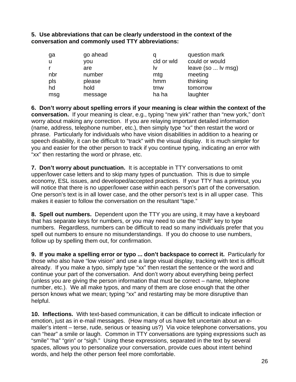**5. Use abbreviations that can be clearly understood in the context of the conversation and commonly used TTY abbreviations:**

| ga  | go ahead |            | question mark      |
|-----|----------|------------|--------------------|
| u   | you      | cld or wld | could or would     |
|     | are      | ΙV         | leave (so  Iv msg) |
| nbr | number   | mtg        | meeting            |
| pls | please   | hmm        | thinking           |
| hd  | hold     | tmw        | tomorrow           |
| msg | message  | ha ha      | laughter           |

**6. Don't worry about spelling errors if your meaning is clear within the context of the conversation.** If your meaning is clear, e.g., typing "new yirk" rather than "new york," don't worry about making any correction. If you are relaying important detailed information (name, address, telephone number, etc.), then simply type "xx" then restart the word or phrase. Particularly for individuals who have vision disabilities in addition to a hearing or speech disability, it can be difficult to "track" with the visual display. It is much simpler for you and easier for the other person to track if you continue typing, indicating an error with "xx" then restarting the word or phrase, etc.

**7. Don't worry about punctuation.** It is acceptable in TTY conversations to omit upper/lower case letters and to skip many types of punctuation. This is due to simple economy, ESL issues, and developed/accepted practices. If your TTY has a printout, you will notice that there is no upper/lower case within each person's part of the conversation. One person's text is in all lower case, and the other person's text is in all upper case. This makes it easier to follow the conversation on the resultant "tape."

**8. Spell out numbers.** Dependent upon the TTY you are using, it may have a keyboard that has separate keys for numbers, or you may need to use the "Shift" key to type numbers. Regardless, numbers can be difficult to read so many individuals prefer that you spell out numbers to ensure no misunderstandings. If you do choose to use numbers, follow up by spelling them out, for confirmation.

**9. If you make a spelling error or typo ... don't backspace to correct it.** Particularly for those who also have "low vision" and use a large visual display, tracking with text is difficult already. If you make a typo, simply type "xx" then restart the sentence or the word and continue your part of the conversation. And don't worry about everything being perfect (unless you are giving the person information that must be correct – name, telephone number, etc.). We all make typos, and many of them are close enough that the other person knows what we mean; typing "xx" and restarting may be more disruptive than helpful.

**10. Inflections.** With text-based communication, it can be difficult to indicate inflection or emotion, just as in e-mail messages. (How many of us have felt uncertain about an emailer's intent – terse, rude, serious or teasing us?) Via voice telephone conversations, you can "hear" a smile or laugh. Common in TTY conversations are typing expressions such as "smile" "ha" "grin" or "sigh." Using these expressions, separated in the text by several spaces, allows you to personalize your conversation, provide cues about intent behind words, and help the other person feel more comfortable.